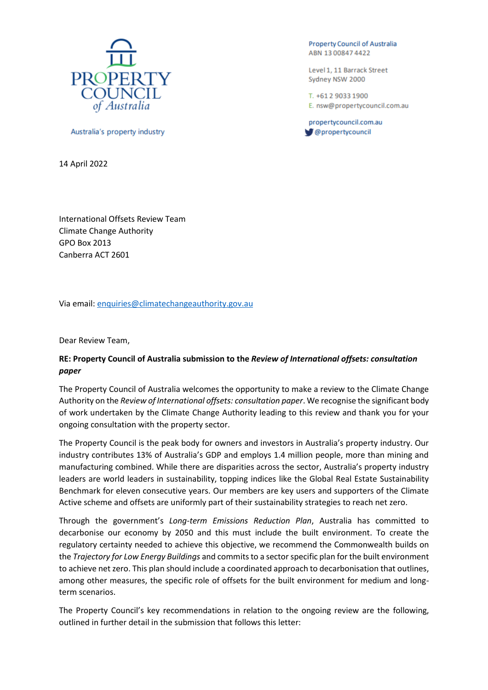

Australia's property industry

14 April 2022

**Property Council of Australia** ABN 13008474422

Level 1, 11 Barrack Street Sydney NSW 2000

T. +61 2 9033 1900 E. nsw@propertycouncil.com.au

propertycouncil.com.au @propertycouncil

International Offsets Review Team Climate Change Authority GPO Box 2013 Canberra ACT 2601

Via email[: enquiries@climatechangeauthority.gov.au](mailto:enquiries@climatechangeauthority.gov.au)

Dear Review Team,

# **RE: Property Council of Australia submission to the** *Review of International offsets: consultation paper*

The Property Council of Australia welcomes the opportunity to make a review to the Climate Change Authority on the *Review of International offsets: consultation paper*. We recognise the significant body of work undertaken by the Climate Change Authority leading to this review and thank you for your ongoing consultation with the property sector.

The Property Council is the peak body for owners and investors in Australia's property industry. Our industry contributes 13% of Australia's GDP and employs 1.4 million people, more than mining and manufacturing combined. While there are disparities across the sector, Australia's property industry leaders are world leaders in sustainability, topping indices like the Global Real Estate Sustainability Benchmark for eleven consecutive years. Our members are key users and supporters of the Climate Active scheme and offsets are uniformly part of their sustainability strategies to reach net zero.

Through the government's *Long-term Emissions Reduction Plan*, Australia has committed to decarbonise our economy by 2050 and this must include the built environment. To create the regulatory certainty needed to achieve this objective, we recommend the Commonwealth builds on the *Trajectory for Low Energy Buildings* and commits to a sector specific plan for the built environment to achieve net zero. This plan should include a coordinated approach to decarbonisation that outlines, among other measures, the specific role of offsets for the built environment for medium and longterm scenarios.

The Property Council's key recommendations in relation to the ongoing review are the following, outlined in further detail in the submission that follows this letter: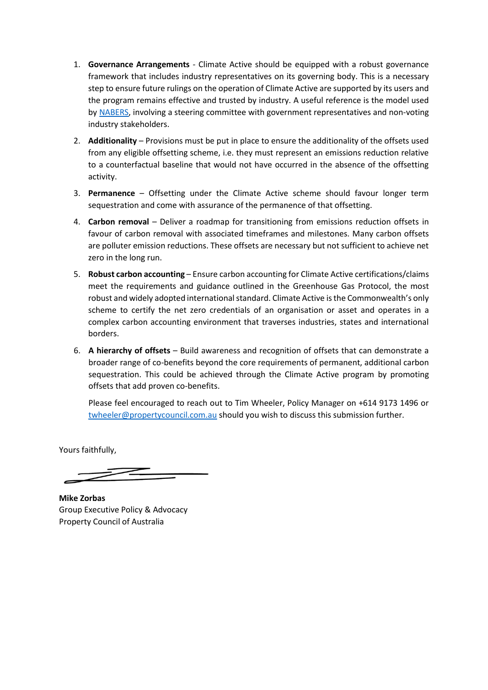- 1. **Governance Arrangements**  Climate Active should be equipped with a robust governance framework that includes industry representatives on its governing body. This is a necessary step to ensure future rulings on the operation of Climate Active are supported by its users and the program remains effective and trusted by industry. A useful reference is the model used by [NABERS,](https://www.nabers.gov.au/about/governance) involving a steering committee with government representatives and non-voting industry stakeholders.
- 2. **Additionality** Provisions must be put in place to ensure the additionality of the offsets used from any eligible offsetting scheme, i.e. they must represent an emissions reduction relative to a counterfactual baseline that would not have occurred in the absence of the offsetting activity.
- 3. **Permanence** Offsetting under the Climate Active scheme should favour longer term sequestration and come with assurance of the permanence of that offsetting.
- 4. **Carbon removal** Deliver a roadmap for transitioning from emissions reduction offsets in favour of carbon removal with associated timeframes and milestones. Many carbon offsets are polluter emission reductions. These offsets are necessary but not sufficient to achieve net zero in the long run.
- 5. **Robust carbon accounting** Ensure carbon accounting for Climate Active certifications/claims meet the requirements and guidance outlined in the Greenhouse Gas Protocol, the most robust and widely adopted international standard. Climate Active is the Commonwealth's only scheme to certify the net zero credentials of an organisation or asset and operates in a complex carbon accounting environment that traverses industries, states and international borders.
- 6. **A hierarchy of offsets** Build awareness and recognition of offsets that can demonstrate a broader range of co-benefits beyond the core requirements of permanent, additional carbon sequestration. This could be achieved through the Climate Active program by promoting offsets that add proven co-benefits.

Please feel encouraged to reach out to Tim Wheeler, Policy Manager on +614 9173 1496 or [twheeler@propertycouncil.com.au](mailto:twheeler@propertycouncil.com.au) should you wish to discuss this submission further.

Yours faithfully,

**Mike Zorbas** Group Executive Policy & Advocacy Property Council of Australia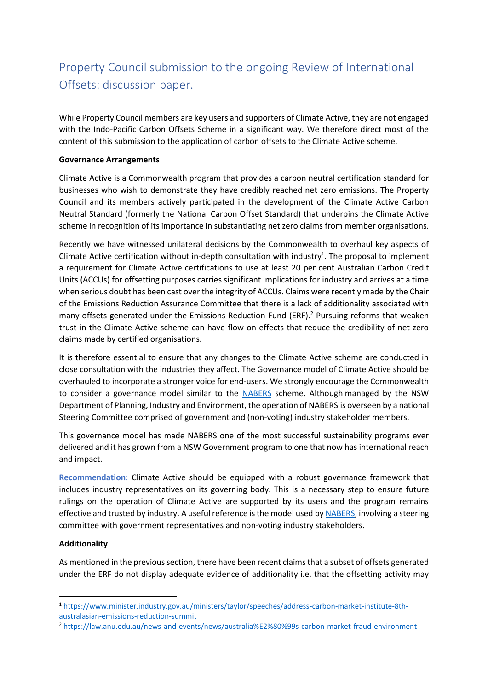# Property Council submission to the ongoing Review of International Offsets: discussion paper.

While Property Council members are key users and supporters of Climate Active, they are not engaged with the Indo-Pacific Carbon Offsets Scheme in a significant way. We therefore direct most of the content of this submission to the application of carbon offsets to the Climate Active scheme.

## **Governance Arrangements**

Climate Active is a Commonwealth program that provides a carbon neutral certification standard for businesses who wish to demonstrate they have credibly reached net zero emissions. The Property Council and its members actively participated in the development of the Climate Active Carbon Neutral Standard (formerly the National Carbon Offset Standard) that underpins the Climate Active scheme in recognition of its importance in substantiating net zero claims from member organisations.

Recently we have witnessed unilateral decisions by the Commonwealth to overhaul key aspects of Climate Active certification without in-depth consultation with industry<sup>1</sup>. The proposal to implement a requirement for Climate Active certifications to use at least 20 per cent Australian Carbon Credit Units (ACCUs) for offsetting purposes carries significant implications for industry and arrives at a time when serious doubt has been cast over the integrity of ACCUs. Claims were recently made by the Chair of the Emissions Reduction Assurance Committee that there is a lack of additionality associated with many offsets generated under the Emissions Reduction Fund (ERF). <sup>2</sup> Pursuing reforms that weaken trust in the Climate Active scheme can have flow on effects that reduce the credibility of net zero claims made by certified organisations.

It is therefore essential to ensure that any changes to the Climate Active scheme are conducted in close consultation with the industries they affect. The Governance model of Climate Active should be overhauled to incorporate a stronger voice for end-users. We strongly encourage the Commonwealth to consider a governance model similar to the [NABERS](https://www.nabers.gov.au/about/governance) scheme. Although managed by the NSW Department of Planning, Industry and Environment, the operation of NABERS is overseen by a national Steering Committee comprised of government and (non-voting) industry stakeholder members.

This governance model has made NABERS one of the most successful sustainability programs ever delivered and it has grown from a NSW Government program to one that now has international reach and impact.

**Recommendation**: Climate Active should be equipped with a robust governance framework that includes industry representatives on its governing body. This is a necessary step to ensure future rulings on the operation of Climate Active are supported by its users and the program remains effective and trusted by industry. A useful reference is the model used b[y NABERS,](https://www.nabers.gov.au/about/governance) involving a steering committee with government representatives and non-voting industry stakeholders.

# **Additionality**

As mentioned in the previous section, there have been recent claims that a subset of offsets generated under the ERF do not display adequate evidence of additionality i.e. that the offsetting activity may

<sup>1</sup> [https://www.minister.industry.gov.au/ministers/taylor/speeches/address-carbon-market-institute-8th](https://www.minister.industry.gov.au/ministers/taylor/speeches/address-carbon-market-institute-8th-australasian-emissions-reduction-summit)[australasian-emissions-reduction-summit](https://www.minister.industry.gov.au/ministers/taylor/speeches/address-carbon-market-institute-8th-australasian-emissions-reduction-summit)

<sup>2</sup> <https://law.anu.edu.au/news-and-events/news/australia%E2%80%99s-carbon-market-fraud-environment>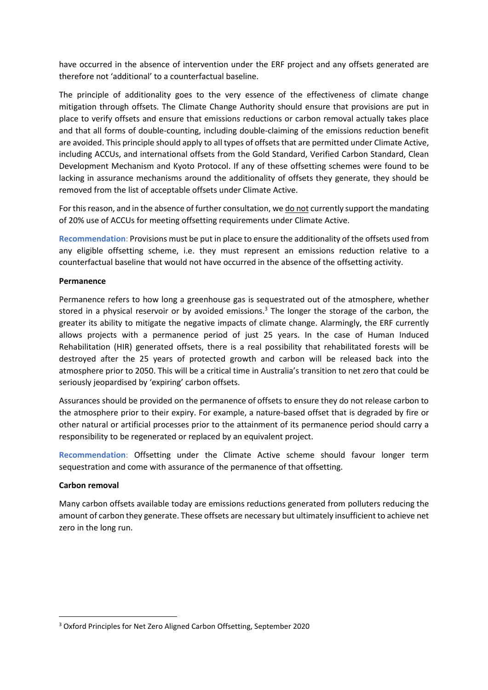have occurred in the absence of intervention under the ERF project and any offsets generated are therefore not 'additional' to a counterfactual baseline.

The principle of additionality goes to the very essence of the effectiveness of climate change mitigation through offsets. The Climate Change Authority should ensure that provisions are put in place to verify offsets and ensure that emissions reductions or carbon removal actually takes place and that all forms of double-counting, including double-claiming of the emissions reduction benefit are avoided. This principle should apply to all types of offsets that are permitted under Climate Active, including ACCUs, and international offsets from the Gold Standard, Verified Carbon Standard, Clean Development Mechanism and Kyoto Protocol. If any of these offsetting schemes were found to be lacking in assurance mechanisms around the additionality of offsets they generate, they should be removed from the list of acceptable offsets under Climate Active.

For this reason, and in the absence of further consultation, we do not currently support the mandating of 20% use of ACCUs for meeting offsetting requirements under Climate Active.

**Recommendation**: Provisions must be put in place to ensure the additionality of the offsets used from any eligible offsetting scheme, i.e. they must represent an emissions reduction relative to a counterfactual baseline that would not have occurred in the absence of the offsetting activity.

### **Permanence**

Permanence refers to how long a greenhouse gas is sequestrated out of the atmosphere, whether stored in a physical reservoir or by avoided emissions.<sup>3</sup> The longer the storage of the carbon, the greater its ability to mitigate the negative impacts of climate change. Alarmingly, the ERF currently allows projects with a permanence period of just 25 years. In the case of Human Induced Rehabilitation (HIR) generated offsets, there is a real possibility that rehabilitated forests will be destroyed after the 25 years of protected growth and carbon will be released back into the atmosphere prior to 2050. This will be a critical time in Australia's transition to net zero that could be seriously jeopardised by 'expiring' carbon offsets.

Assurances should be provided on the permanence of offsets to ensure they do not release carbon to the atmosphere prior to their expiry. For example, a nature-based offset that is degraded by fire or other natural or artificial processes prior to the attainment of its permanence period should carry a responsibility to be regenerated or replaced by an equivalent project.

**Recommendation**: Offsetting under the Climate Active scheme should favour longer term sequestration and come with assurance of the permanence of that offsetting.

### **Carbon removal**

Many carbon offsets available today are emissions reductions generated from polluters reducing the amount of carbon they generate. These offsets are necessary but ultimately insufficient to achieve net zero in the long run.

<sup>3</sup> Oxford Principles for Net Zero Aligned Carbon Offsetting, September 2020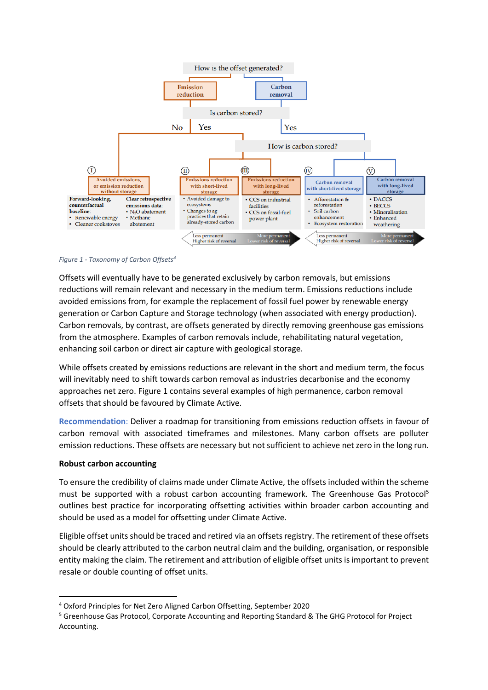

#### *Figure 1 - Taxonomy of Carbon Offsets<sup>4</sup>*

Offsets will eventually have to be generated exclusively by carbon removals, but emissions reductions will remain relevant and necessary in the medium term. Emissions reductions include avoided emissions from, for example the replacement of fossil fuel power by renewable energy generation or Carbon Capture and Storage technology (when associated with energy production). Carbon removals, by contrast, are offsets generated by directly removing greenhouse gas emissions from the atmosphere. Examples of carbon removals include, rehabilitating natural vegetation, enhancing soil carbon or direct air capture with geological storage.

While offsets created by emissions reductions are relevant in the short and medium term, the focus will inevitably need to shift towards carbon removal as industries decarbonise and the economy approaches net zero. Figure 1 contains several examples of high permanence, carbon removal offsets that should be favoured by Climate Active.

**Recommendation**: Deliver a roadmap for transitioning from emissions reduction offsets in favour of carbon removal with associated timeframes and milestones. Many carbon offsets are polluter emission reductions. These offsets are necessary but not sufficient to achieve net zero in the long run.

#### **Robust carbon accounting**

To ensure the credibility of claims made under Climate Active, the offsets included within the scheme must be supported with a robust carbon accounting framework. The Greenhouse Gas Protocol<sup>5</sup> outlines best practice for incorporating offsetting activities within broader carbon accounting and should be used as a model for offsetting under Climate Active.

Eligible offset units should be traced and retired via an offsets registry. The retirement of these offsets should be clearly attributed to the carbon neutral claim and the building, organisation, or responsible entity making the claim. The retirement and attribution of eligible offset units is important to prevent resale or double counting of offset units.

<sup>4</sup> Oxford Principles for Net Zero Aligned Carbon Offsetting, September 2020

<sup>5</sup> Greenhouse Gas Protocol, Corporate Accounting and Reporting Standard & The GHG Protocol for Project Accounting.